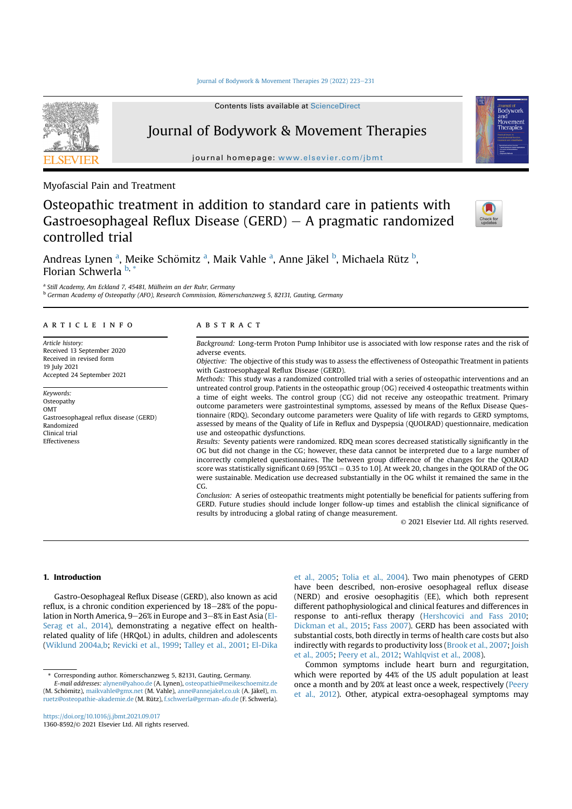## Journal of Bodywork & Movement Therapies 29 (2022) 223-231

Contents lists available at ScienceDirect



Journal of Bodywork & Movement Therapies

journal homepage: www.elsevier.com/jbmt

Myofascial Pain and Treatment

Osteopathic treatment in addition to standard care in patients with Gastroesophageal Reflux Disease (GERD)  $-$  A pragmatic randomized controlled trial



ovement

Andreas Lynen <sup>a</sup>, Meike Schömitz <sup>a</sup>, Maik Vahle <sup>a</sup>, Anne Jäkel <sup>b</sup>, Michaela Rütz <sup>b</sup>, Florian Schwerla <sup>b,</sup>

<sup>a</sup> Still Academy, Am Eckland 7, 45481, Mülheim an der Ruhr, Germany

b German Academy of Osteopathy (AFO), Research Commission, Römerschanzweg 5, 82131, Gauting, Germany

#### article info

Article history: Received 13 September 2020 Received in revised form 19 July 2021 Accepted 24 September 2021

Keywords: **Osteopathy** OMT Gastroesophageal reflux disease (GERD) Randomized Clinical trial Effectiveness

### **ABSTRACT**

Background: Long-term Proton Pump Inhibitor use is associated with low response rates and the risk of adverse events.

Objective: The objective of this study was to assess the effectiveness of Osteopathic Treatment in patients with Gastroesophageal Reflux Disease (GERD).

Methods: This study was a randomized controlled trial with a series of osteopathic interventions and an untreated control group. Patients in the osteopathic group (OG) received 4 osteopathic treatments within a time of eight weeks. The control group (CG) did not receive any osteopathic treatment. Primary outcome parameters were gastrointestinal symptoms, assessed by means of the Reflux Disease Questionnaire (RDQ). Secondary outcome parameters were Quality of life with regards to GERD symptoms, assessed by means of the Quality of Life in Reflux and Dyspepsia (QUOLRAD) questionnaire, medication use and osteopathic dysfunctions.

Results: Seventy patients were randomized. RDQ mean scores decreased statistically significantly in the OG but did not change in the CG; however, these data cannot be interpreted due to a large number of incorrectly completed questionnaires. The between group difference of the changes for the QOLRAD score was statistically significant  $0.69$  [95%CI = 0.35 to 1.0]. At week 20, changes in the QOLRAD of the OG were sustainable. Medication use decreased substantially in the OG whilst it remained the same in the CG.

Conclusion: A series of osteopathic treatments might potentially be beneficial for patients suffering from GERD. Future studies should include longer follow-up times and establish the clinical significance of results by introducing a global rating of change measurement.

© 2021 Elsevier Ltd. All rights reserved.

# 1. Introduction

Gastro-Oesophageal Reflux Disease (GERD), also known as acid reflux, is a chronic condition experienced by  $18-28\%$  of the population in North America,  $9-26\%$  in Europe and  $3-8\%$  in East Asia (El-Serag et al., 2014), demonstrating a negative effect on healthrelated quality of life (HRQoL) in adults, children and adolescents (Wiklund 2004a,b; Revicki et al., 1999; Talley et al., 2001; El-Dika et al., 2005; Tolia et al., 2004). Two main phenotypes of GERD have been described, non-erosive oesophageal reflux disease (NERD) and erosive oesophagitis (EE), which both represent different pathophysiological and clinical features and differences in response to anti-reflux therapy (Hershcovici and Fass 2010; Dickman et al., 2015; Fass 2007). GERD has been associated with substantial costs, both directly in terms of health care costs but also indirectly with regards to productivity loss (Brook et al., 2007; Joish et al., 2005; Peery et al., 2012; Wahlqvist et al., 2008).

Common symptoms include heart burn and regurgitation, which were reported by 44% of the US adult population at least once a month and by 20% at least once a week, respectively (Peery et al., 2012). Other, atypical extra-oesophageal symptoms may

https://doi.org/10.1016/j.jbmt.2021.09.017 1360-8592/© 2021 Elsevier Ltd. All rights reserved.

<sup>\*</sup> Corresponding author. Romerschanzweg 5, 82131, Gauting, Germany. €

E-mail addresses: alynen@yahoo.de (A. Lynen), osteopathie@meikeschoemitz.de (M. Schömitz), maikvahle@gmx.net (M. Vahle), anne@annejakel.co.uk (A. Jäkel), m. ruetz@osteopathie-akademie.de (M. Rütz), f.schwerla@german-afo.de (F. Schwerla).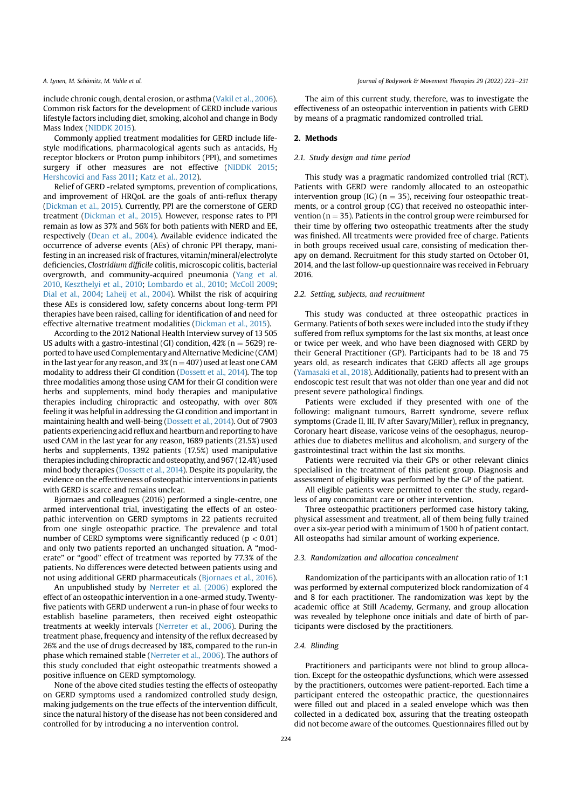include chronic cough, dental erosion, or asthma (Vakil et al., 2006). Common risk factors for the development of GERD include various lifestyle factors including diet, smoking, alcohol and change in Body Mass Index (NIDDK 2015).

Commonly applied treatment modalities for GERD include lifestyle modifications, pharmacological agents such as antacids,  $H_2$ receptor blockers or Proton pump inhibitors (PPI), and sometimes surgery if other measures are not effective (NIDDK 2015; Hershcovici and Fass 2011; Katz et al., 2012).

Relief of GERD -related symptoms, prevention of complications, and improvement of HRQoL are the goals of anti-reflux therapy (Dickman et al., 2015). Currently, PPI are the cornerstone of GERD treatment (Dickman et al., 2015). However, response rates to PPI remain as low as 37% and 56% for both patients with NERD and EE, respectively (Dean et al., 2004). Available evidence indicated the occurrence of adverse events (AEs) of chronic PPI therapy, manifesting in an increased risk of fractures, vitamin/mineral/electrolyte deficiencies, Clostridium difficile colitis, microscopic colitis, bacterial overgrowth, and community-acquired pneumonia (Yang et al. 2010, Keszthelyi et al., 2010; Lombardo et al., 2010; McColl 2009; Dial et al., 2004; Laheij et al., 2004). Whilst the risk of acquiring these AEs is considered low, safety concerns about long-term PPI therapies have been raised, calling for identification of and need for effective alternative treatment modalities (Dickman et al., 2015).

According to the 2012 National Health Interview survey of 13 505 US adults with a gastro-intestinal (GI) condition,  $42\%$  (n = 5629) reported to have used Complementary and Alternative Medicine (CAM) in the last year for any reason, and  $3\%$  (n = 407) used at least one CAM modality to address their GI condition (Dossett et al., 2014). The top three modalities among those using CAM for their GI condition were herbs and supplements, mind body therapies and manipulative therapies including chiropractic and osteopathy, with over 80% feeling it was helpful in addressing the GI condition and important in maintaining health and well-being (Dossett et al., 2014). Out of 7903 patients experiencing acid reflux and heartburn and reporting to have used CAM in the last year for any reason, 1689 patients (21.5%) used herbs and supplements, 1392 patients (17.5%) used manipulative therapies including chiropractic and osteopathy, and 967 (12.4%) used mind body therapies (Dossett et al., 2014). Despite its popularity, the evidence on the effectiveness of osteopathic interventions in patients with GERD is scarce and remains unclear.

Bjornaes and colleagues (2016) performed a single-centre, one armed interventional trial, investigating the effects of an osteopathic intervention on GERD symptoms in 22 patients recruited from one single osteopathic practice. The prevalence and total number of GERD symptoms were significantly reduced ( $p < 0.01$ ) and only two patients reported an unchanged situation. A "moderate" or "good" effect of treatment was reported by 77.3% of the patients. No differences were detected between patients using and not using additional GERD pharmaceuticals (Bjornaes et al., 2016).

An unpublished study by Nerreter et al. (2006) explored the effect of an osteopathic intervention in a one-armed study. Twentyfive patients with GERD underwent a run-in phase of four weeks to establish baseline parameters, then received eight osteopathic treatments at weekly intervals (Nerreter et al., 2006). During the treatment phase, frequency and intensity of the reflux decreased by 26% and the use of drugs decreased by 18%, compared to the run-in phase which remained stable (Nerreter et al., 2006). The authors of this study concluded that eight osteopathic treatments showed a positive influence on GERD symptomology.

None of the above cited studies testing the effects of osteopathy on GERD symptoms used a randomized controlled study design, making judgements on the true effects of the intervention difficult, since the natural history of the disease has not been considered and controlled for by introducing a no intervention control.

The aim of this current study, therefore, was to investigate the effectiveness of an osteopathic intervention in patients with GERD by means of a pragmatic randomized controlled trial.

# 2. Methods

#### 2.1. Study design and time period

This study was a pragmatic randomized controlled trial (RCT). Patients with GERD were randomly allocated to an osteopathic intervention group (IG) ( $n = 35$ ), receiving four osteopathic treatments, or a control group (CG) that received no osteopathic intervention ( $n = 35$ ). Patients in the control group were reimbursed for their time by offering two osteopathic treatments after the study was finished. All treatments were provided free of charge. Patients in both groups received usual care, consisting of medication therapy on demand. Recruitment for this study started on October 01, 2014, and the last follow-up questionnaire was received in February 2016.

# 2.2. Setting, subjects, and recruitment

This study was conducted at three osteopathic practices in Germany. Patients of both sexes were included into the study if they suffered from reflux symptoms for the last six months, at least once or twice per week, and who have been diagnosed with GERD by their General Practitioner (GP). Participants had to be 18 and 75 years old, as research indicates that GERD affects all age groups (Yamasaki et al., 2018). Additionally, patients had to present with an endoscopic test result that was not older than one year and did not present severe pathological findings.

Patients were excluded if they presented with one of the following: malignant tumours, Barrett syndrome, severe reflux symptoms (Grade II, III, IV after Savary/Miller), reflux in pregnancy, Coronary heart disease, varicose veins of the oesophagus, neuropathies due to diabetes mellitus and alcoholism, and surgery of the gastrointestinal tract within the last six months.

Patients were recruited via their GPs or other relevant clinics specialised in the treatment of this patient group. Diagnosis and assessment of eligibility was performed by the GP of the patient.

All eligible patients were permitted to enter the study, regardless of any concomitant care or other intervention.

Three osteopathic practitioners performed case history taking, physical assessment and treatment, all of them being fully trained over a six-year period with a minimum of 1500 h of patient contact. All osteopaths had similar amount of working experience.

# 2.3. Randomization and allocation concealment

Randomization of the participants with an allocation ratio of 1:1 was performed by external computerized block randomization of 4 and 8 for each practitioner. The randomization was kept by the academic office at Still Academy, Germany, and group allocation was revealed by telephone once initials and date of birth of participants were disclosed by the practitioners.

## 2.4. Blinding

Practitioners and participants were not blind to group allocation. Except for the osteopathic dysfunctions, which were assessed by the practitioners, outcomes were patient-reported. Each time a participant entered the osteopathic practice, the questionnaires were filled out and placed in a sealed envelope which was then collected in a dedicated box, assuring that the treating osteopath did not become aware of the outcomes. Questionnaires filled out by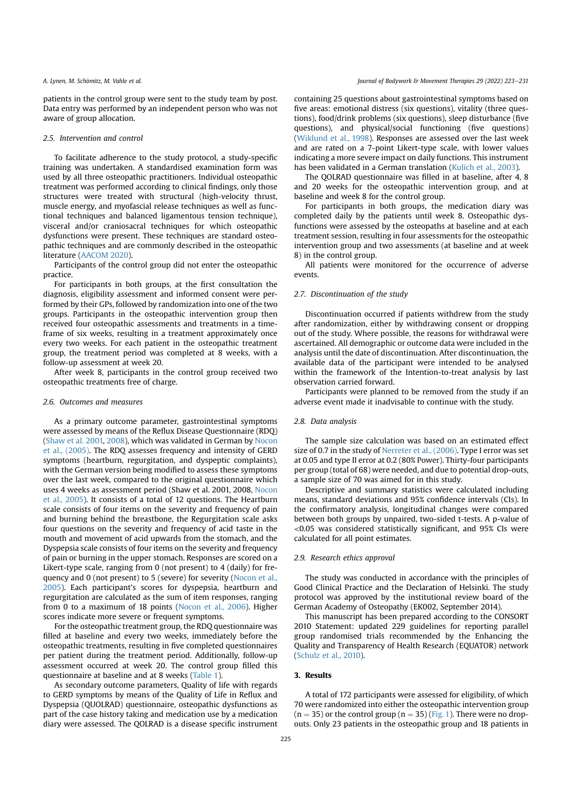patients in the control group were sent to the study team by post. Data entry was performed by an independent person who was not aware of group allocation.

#### 2.5. Intervention and control

To facilitate adherence to the study protocol, a study-specific training was undertaken. A standardised examination form was used by all three osteopathic practitioners. Individual osteopathic treatment was performed according to clinical findings, only those structures were treated with structural (high-velocity thrust, muscle energy, and myofascial release techniques as well as functional techniques and balanced ligamentous tension technique), visceral and/or craniosacral techniques for which osteopathic dysfunctions were present. These techniques are standard osteopathic techniques and are commonly described in the osteopathic literature (AACOM 2020).

Participants of the control group did not enter the osteopathic practice.

For participants in both groups, at the first consultation the diagnosis, eligibility assessment and informed consent were performed by their GPs, followed by randomization into one of the two groups. Participants in the osteopathic intervention group then received four osteopathic assessments and treatments in a timeframe of six weeks, resulting in a treatment approximately once every two weeks. For each patient in the osteopathic treatment group, the treatment period was completed at 8 weeks, with a follow-up assessment at week 20.

After week 8, participants in the control group received two osteopathic treatments free of charge.

#### 2.6. Outcomes and measures

As a primary outcome parameter, gastrointestinal symptoms were assessed by means of the Reflux Disease Questionnaire (RDQ) (Shaw et al. 2001, 2008), which was validated in German by Nocon et al., (2005). The RDQ assesses frequency and intensity of GERD symptoms (heartburn, regurgitation, and dyspeptic complaints), with the German version being modified to assess these symptoms over the last week, compared to the original questionnaire which uses 4 weeks as assessment period (Shaw et al. 2001, 2008, Nocon et al., 2005). It consists of a total of 12 questions. The Heartburn scale consists of four items on the severity and frequency of pain and burning behind the breastbone, the Regurgitation scale asks four questions on the severity and frequency of acid taste in the mouth and movement of acid upwards from the stomach, and the Dyspepsia scale consists of four items on the severity and frequency of pain or burning in the upper stomach. Responses are scored on a Likert-type scale, ranging from 0 (not present) to 4 (daily) for frequency and 0 (not present) to 5 (severe) for severity (Nocon et al., 2005). Each participant's scores for dyspepsia, heartburn and regurgitation are calculated as the sum of item responses, ranging from 0 to a maximum of 18 points (Nocon et al., 2006). Higher scores indicate more severe or frequent symptoms.

For the osteopathic treatment group, the RDQ questionnaire was filled at baseline and every two weeks, immediately before the osteopathic treatments, resulting in five completed questionnaires per patient during the treatment period. Additionally, follow-up assessment occurred at week 20. The control group filled this questionnaire at baseline and at 8 weeks (Table 1).

As secondary outcome parameters, Quality of life with regards to GERD symptoms by means of the Quality of Life in Reflux and Dyspepsia (QUOLRAD) questionnaire, osteopathic dysfunctions as part of the case history taking and medication use by a medication diary were assessed. The QOLRAD is a disease specific instrument containing 25 questions about gastrointestinal symptoms based on five areas: emotional distress (six questions), vitality (three questions), food/drink problems (six questions), sleep disturbance (five questions), and physical/social functioning (five questions) (Wiklund et al., 1998). Responses are assessed over the last week and are rated on a 7-point Likert-type scale, with lower values indicating a more severe impact on daily functions. This instrument has been validated in a German translation (Kulich et al., 2003).

The QOLRAD questionnaire was filled in at baseline, after 4, 8 and 20 weeks for the osteopathic intervention group, and at baseline and week 8 for the control group.

For participants in both groups, the medication diary was completed daily by the patients until week 8. Osteopathic dysfunctions were assessed by the osteopaths at baseline and at each treatment session, resulting in four assessments for the osteopathic intervention group and two assessments (at baseline and at week 8) in the control group.

All patients were monitored for the occurrence of adverse events.

## 2.7. Discontinuation of the study

Discontinuation occurred if patients withdrew from the study after randomization, either by withdrawing consent or dropping out of the study. Where possible, the reasons for withdrawal were ascertained. All demographic or outcome data were included in the analysis until the date of discontinuation. After discontinuation, the available data of the participant were intended to be analysed within the framework of the Intention-to-treat analysis by last observation carried forward.

Participants were planned to be removed from the study if an adverse event made it inadvisable to continue with the study.

# 2.8. Data analysis

The sample size calculation was based on an estimated effect size of 0.7 in the study of Nerreter et al., (2006). Type I error was set at 0.05 and type II error at 0.2 (80% Power). Thirty-four participants per group (total of 68) were needed, and due to potential drop-outs, a sample size of 70 was aimed for in this study.

Descriptive and summary statistics were calculated including means, standard deviations and 95% confidence intervals (CIs). In the confirmatory analysis, longitudinal changes were compared between both groups by unpaired, two-sided t-tests. A p-value of <0.05 was considered statistically significant, and 95% CIs were calculated for all point estimates.

# 2.9. Research ethics approval

The study was conducted in accordance with the principles of Good Clinical Practice and the Declaration of Helsinki. The study protocol was approved by the institutional review board of the German Academy of Osteopathy (EK002, September 2014).

This manuscript has been prepared according to the CONSORT 2010 Statement: updated 229 guidelines for reporting parallel group randomised trials recommended by the Enhancing the Quality and Transparency of Health Research (EQUATOR) network (Schulz et al., 2010).

# 3. Results

A total of 172 participants were assessed for eligibility, of which 70 were randomized into either the osteopathic intervention group  $(n = 35)$  or the control group  $(n = 35)$  (Fig. 1). There were no dropouts. Only 23 patients in the osteopathic group and 18 patients in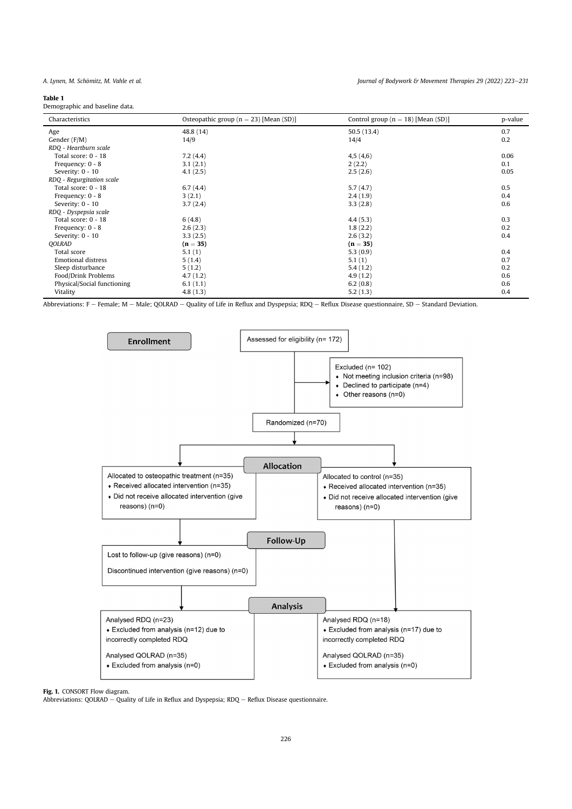#### Table 1

Demographic and baseline data.

| Characteristics             | Osteopathic group ( $n = 23$ ) [Mean (SD)] | Control group ( $n = 18$ ) [Mean (SD)] | p-value |
|-----------------------------|--------------------------------------------|----------------------------------------|---------|
| Age                         | 48.8 (14)                                  | 50.5(13.4)                             | 0.7     |
| Gender (F/M)                | 14/9                                       | 14/4                                   | 0.2     |
| RDQ - Heartburn scale       |                                            |                                        |         |
| Total score: 0 - 18         | 7.2(4.4)                                   | 4,5(4,6)                               | 0.06    |
| Frequency: 0 - 8            | 3.1(2.1)                                   | 2(2.2)                                 | 0.1     |
| Severity: 0 - 10            | 4.1(2.5)                                   | 2.5(2.6)                               | 0.05    |
| RDQ - Regurgitation scale   |                                            |                                        |         |
| Total score: 0 - 18         | 6.7(4.4)                                   | 5.7(4.7)                               | 0.5     |
| Frequency: 0 - 8            | 3(2.1)                                     | 2.4(1.9)                               | 0.4     |
| Severity: 0 - 10            | 3.7(2.4)                                   | 3.3(2.8)                               | 0.6     |
| RDQ - Dyspepsia scale       |                                            |                                        |         |
| Total score: 0 - 18         | 6(4.8)                                     | 4.4(5.3)                               | 0.3     |
| Frequency: 0 - 8            | 2.6(2.3)                                   | 1.8(2.2)                               | 0.2     |
| Severity: 0 - 10            | 3.3(2.5)                                   | 2.6(3.2)                               | 0.4     |
| <b>QOLRAD</b>               | $(n = 35)$                                 | $(n = 35)$                             |         |
| Total score                 | 5.1(1)                                     | 5.3(0.9)                               | 0.4     |
| <b>Emotional distress</b>   | 5(1.4)                                     | 5.1(1)                                 | 0.7     |
| Sleep disturbance           | 5(1.2)                                     | 5.4(1.2)                               | 0.2     |
| Food/Drink Problems         | 4.7(1.2)                                   | 4.9(1.2)                               | 0.6     |
| Physical/Social functioning | 6.1(1.1)                                   | 6.2(0.8)                               | 0.6     |
| Vitality                    | 4.8(1.3)                                   | 5.2(1.3)                               | 0.4     |

Abbreviations: F - Female; M - Male; QOLRAD - Quality of Life in Reflux and Dyspepsia; RDQ - Reflux Disease questionnaire, SD - Standard Deviation.



Fig. 1. CONSORT Flow diagram.

Abbreviations: QOLRAD – Quality of Life in Reflux and Dyspepsia; RDQ – Reflux Disease questionnaire.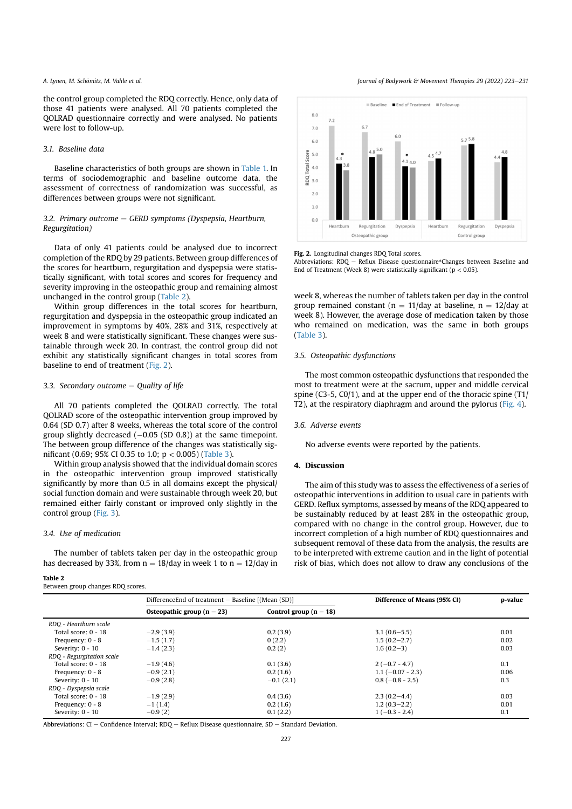the control group completed the RDQ correctly. Hence, only data of those 41 patients were analysed. All 70 patients completed the QOLRAD questionnaire correctly and were analysed. No patients were lost to follow-up.

# 3.1. Baseline data

Baseline characteristics of both groups are shown in Table 1. In terms of sociodemographic and baseline outcome data, the assessment of correctness of randomization was successful, as differences between groups were not significant.

# 3.2. Primary outcome  $-$  GERD symptoms (Dyspepsia, Heartburn, Regurgitation)

Data of only 41 patients could be analysed due to incorrect completion of the RDQ by 29 patients. Between group differences of the scores for heartburn, regurgitation and dyspepsia were statistically significant, with total scores and scores for frequency and severity improving in the osteopathic group and remaining almost unchanged in the control group (Table 2).

Within group differences in the total scores for heartburn, regurgitation and dyspepsia in the osteopathic group indicated an improvement in symptoms by 40%, 28% and 31%, respectively at week 8 and were statistically significant. These changes were sustainable through week 20. In contrast, the control group did not exhibit any statistically significant changes in total scores from baseline to end of treatment (Fig. 2).

# 3.3. Secondary outcome  $-$  Quality of life

All 70 patients completed the QOLRAD correctly. The total QOLRAD score of the osteopathic intervention group improved by 0.64 (SD 0.7) after 8 weeks, whereas the total score of the control group slightly decreased  $(-0.05$  (SD 0.8)) at the same timepoint. The between group difference of the changes was statistically significant (0.69; 95% CI 0.35 to 1.0; p < 0.005) (Table 3).

Within group analysis showed that the individual domain scores in the osteopathic intervention group improved statistically significantly by more than 0.5 in all domains except the physical/ social function domain and were sustainable through week 20, but remained either fairly constant or improved only slightly in the control group (Fig. 3).

# 3.4. Use of medication

The number of tablets taken per day in the osteopathic group has decreased by 33%, from  $n = 18/d$ ay in week 1 to  $n = 12/d$ ay in

# Table 2

Between group changes RDQ scores.

A. Lynen, M. Schömitz, M. Vahle et al. **Exercise 20 (2022)** 223-231 (2022) 223-231



Fig. 2. Longitudinal changes RDQ Total scores.

Abbreviations:  $RDQ - Reflux$  Disease questionnaire\*Changes between Baseline and End of Treatment (Week 8) were statistically significant ( $p < 0.05$ ).

week 8, whereas the number of tablets taken per day in the control group remained constant ( $n = 11$ /day at baseline,  $n = 12$ /day at week 8). However, the average dose of medication taken by those who remained on medication, was the same in both groups (Table 3).

# 3.5. Osteopathic dysfunctions

The most common osteopathic dysfunctions that responded the most to treatment were at the sacrum, upper and middle cervical spine (C3-5, C0/1), and at the upper end of the thoracic spine (T1/ T2), at the respiratory diaphragm and around the pylorus (Fig. 4).

## 3.6. Adverse events

No adverse events were reported by the patients.

## 4. Discussion

The aim of this study was to assess the effectiveness of a series of osteopathic interventions in addition to usual care in patients with GERD. Reflux symptoms, assessed by means of the RDQ appeared to be sustainably reduced by at least 28% in the osteopathic group, compared with no change in the control group. However, due to incorrect completion of a high number of RDQ questionnaires and subsequent removal of these data from the analysis, the results are to be interpreted with extreme caution and in the light of potential risk of bias, which does not allow to draw any conclusions of the

|                           | DifferenceEnd of treatment – Baseline [(Mean (SD)] |                          | Difference of Means (95% CI) | p-value |
|---------------------------|----------------------------------------------------|--------------------------|------------------------------|---------|
|                           | Osteopathic group ( $n = 23$ )                     | Control group $(n = 18)$ |                              |         |
| RDQ - Heartburn scale     |                                                    |                          |                              |         |
| Total score: 0 - 18       | $-2.9(3.9)$                                        | 0.2(3.9)                 | $3.1(0.6 - 5.5)$             | 0.01    |
| Frequency: $0 - 8$        | $-1.5(1.7)$                                        | 0(2.2)                   | $1.5(0.2 - 2.7)$             | 0.02    |
| Severity: 0 - 10          | $-1.4(2.3)$                                        | 0.2(2)                   | $1.6(0.2-3)$                 | 0.03    |
| RDQ - Regurgitation scale |                                                    |                          |                              |         |
| Total score: 0 - 18       | $-1.9(4.6)$                                        | 0.1(3.6)                 | $2(-0.7 - 4.7)$              | 0.1     |
| Frequency: $0 - 8$        | $-0.9(2.1)$                                        | 0.2(1.6)                 | $1.1 (-0.07 - 2.3)$          | 0.06    |
| Severity: 0 - 10          | $-0.9(2.8)$                                        | $-0.1(2.1)$              | $0.8(-0.8 - 2.5)$            | 0.3     |
| RDQ - Dyspepsia scale     |                                                    |                          |                              |         |
| Total score: 0 - 18       | $-1.9(2.9)$                                        | 0.4(3.6)                 | $2.3(0.2 - 4.4)$             | 0.03    |
| Frequency: 0 - 8          | $-1(1.4)$                                          | 0.2(1.6)                 | $1.2(0.3-2.2)$               | 0.01    |
| Severity: 0 - 10          | $-0.9(2)$                                          | 0.1(2.2)                 | $1(-0.3 - 2.4)$              | 0.1     |

Abbreviations: CI - Confidence Interval; RDQ - Reflux Disease questionnaire, SD - Standard Deviation.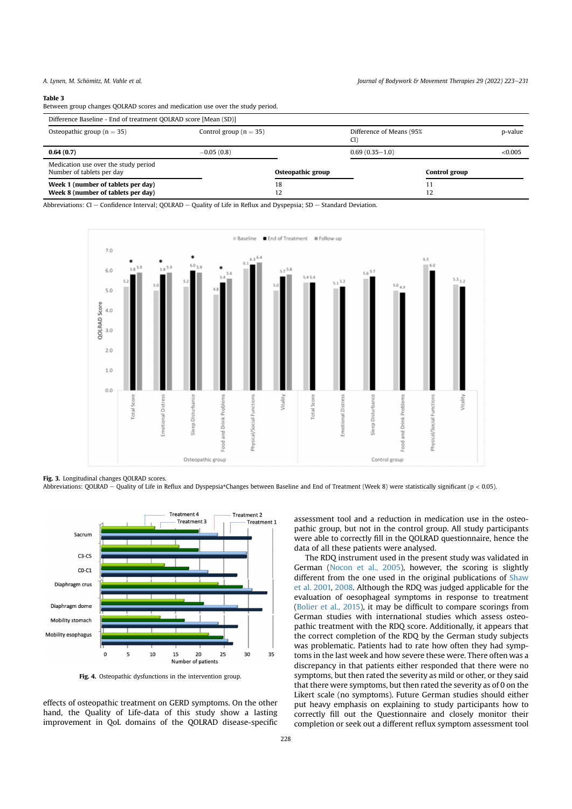#### Table 3

Between group changes QOLRAD scores and medication use over the study period.

| Difference Baseline - End of treatment QOLRAD score [Mean (SD)]          |                            |                   |                                 |         |  |  |  |
|--------------------------------------------------------------------------|----------------------------|-------------------|---------------------------------|---------|--|--|--|
| Osteopathic group ( $n = 35$ )                                           | Control group ( $n = 35$ ) |                   | Difference of Means (95%<br>CI) | p-value |  |  |  |
| 0.64(0.7)                                                                | $-0.05(0.8)$               |                   | $0.69(0.35-1.0)$                | < 0.005 |  |  |  |
| Medication use over the study period<br>Number of tablets per day        |                            | Osteopathic group | Control group                   |         |  |  |  |
| Week 1 (number of tablets per day)<br>Week 8 (number of tablets per day) |                            | 18<br>12          | 12                              |         |  |  |  |

Abbreviations: CI - Confidence Interval; QOLRAD - Quality of Life in Reflux and Dyspepsia; SD - Standard Deviation.



Fig. 3. Longitudinal changes QOLRAD scores.

Abbreviations: QOLRAD - Quality of Life in Reflux and Dyspepsia\*Changes between Baseline and End of Treatment (Week 8) were statistically significant (p < 0.05).



Fig. 4. Osteopathic dysfunctions in the intervention group.

effects of osteopathic treatment on GERD symptoms. On the other hand, the Quality of Life-data of this study show a lasting improvement in QoL domains of the QOLRAD disease-specific assessment tool and a reduction in medication use in the osteopathic group, but not in the control group. All study participants were able to correctly fill in the QOLRAD questionnaire, hence the data of all these patients were analysed.

The RDQ instrument used in the present study was validated in German (Nocon et al., 2005), however, the scoring is slightly different from the one used in the original publications of Shaw et al. 2001, 2008. Although the RDQ was judged applicable for the evaluation of oesophageal symptoms in response to treatment (Bolier et al., 2015), it may be difficult to compare scorings from German studies with international studies which assess osteopathic treatment with the RDQ score. Additionally, it appears that the correct completion of the RDQ by the German study subjects was problematic. Patients had to rate how often they had symptoms in the last week and how severe these were. There often was a discrepancy in that patients either responded that there were no symptoms, but then rated the severity as mild or other, or they said that there were symptoms, but then rated the severity as of 0 on the Likert scale (no symptoms). Future German studies should either put heavy emphasis on explaining to study participants how to correctly fill out the Questionnaire and closely monitor their completion or seek out a different reflux symptom assessment tool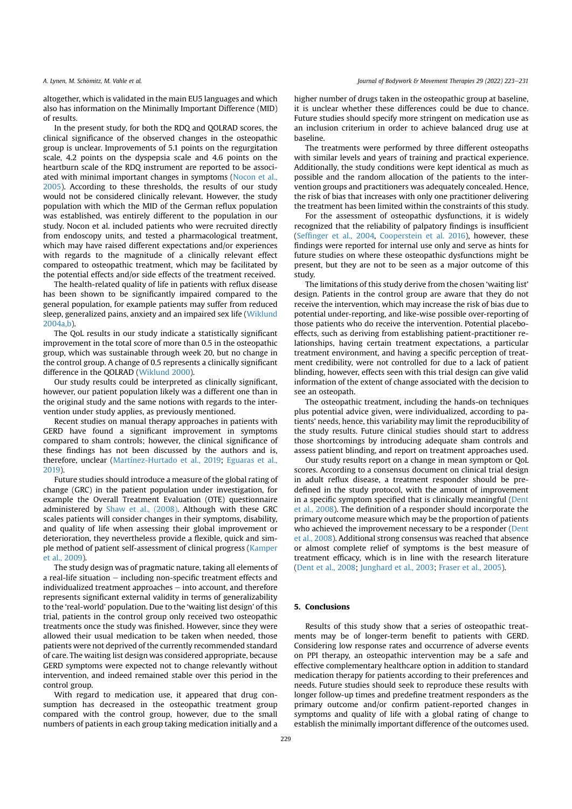altogether, which is validated in the main EU5 languages and which also has information on the Minimally Important Difference (MID) of results.

In the present study, for both the RDQ and QOLRAD scores, the clinical significance of the observed changes in the osteopathic group is unclear. Improvements of 5.1 points on the regurgitation scale, 4.2 points on the dyspepsia scale and 4.6 points on the heartburn scale of the RDQ instrument are reported to be associated with minimal important changes in symptoms (Nocon et al., 2005). According to these thresholds, the results of our study would not be considered clinically relevant. However, the study population with which the MID of the German reflux population was established, was entirely different to the population in our study. Nocon et al. included patients who were recruited directly from endoscopy units, and tested a pharmacological treatment, which may have raised different expectations and/or experiences with regards to the magnitude of a clinically relevant effect compared to osteopathic treatment, which may be facilitated by the potential effects and/or side effects of the treatment received.

The health-related quality of life in patients with reflux disease has been shown to be significantly impaired compared to the general population, for example patients may suffer from reduced sleep, generalized pains, anxiety and an impaired sex life (Wiklund 2004a,b).

The QoL results in our study indicate a statistically significant improvement in the total score of more than 0.5 in the osteopathic group, which was sustainable through week 20, but no change in the control group. A change of 0.5 represents a clinically significant difference in the QOLRAD (Wiklund 2000).

Our study results could be interpreted as clinically significant, however, our patient population likely was a different one than in the original study and the same notions with regards to the intervention under study applies, as previously mentioned.

Recent studies on manual therapy approaches in patients with GERD have found a significant improvement in symptoms compared to sham controls; however, the clinical significance of these findings has not been discussed by the authors and is, therefore, unclear (Martínez-Hurtado et al., 2019; Eguaras et al., 2019).

Future studies should introduce a measure of the global rating of change (GRC) in the patient population under investigation, for example the Overall Treatment Evaluation (OTE) questionnaire administered by Shaw et al., (2008). Although with these GRC scales patients will consider changes in their symptoms, disability, and quality of life when assessing their global improvement or deterioration, they nevertheless provide a flexible, quick and simple method of patient self-assessment of clinical progress (Kamper et al., 2009).

The study design was of pragmatic nature, taking all elements of a real-life situation  $-$  including non-specific treatment effects and  $individualized treatment approaches – into account, and therefore$ represents significant external validity in terms of generalizability to the 'real-world' population. Due to the 'waiting list design' of this trial, patients in the control group only received two osteopathic treatments once the study was finished. However, since they were allowed their usual medication to be taken when needed, those patients were not deprived of the currently recommended standard of care. The waiting list design was considered appropriate, because GERD symptoms were expected not to change relevantly without intervention, and indeed remained stable over this period in the control group.

With regard to medication use, it appeared that drug consumption has decreased in the osteopathic treatment group compared with the control group, however, due to the small numbers of patients in each group taking medication initially and a higher number of drugs taken in the osteopathic group at baseline, it is unclear whether these differences could be due to chance. Future studies should specify more stringent on medication use as an inclusion criterium in order to achieve balanced drug use at baseline.

The treatments were performed by three different osteopaths with similar levels and years of training and practical experience. Additionally, the study conditions were kept identical as much as possible and the random allocation of the patients to the intervention groups and practitioners was adequately concealed. Hence, the risk of bias that increases with only one practitioner delivering the treatment has been limited within the constraints of this study.

For the assessment of osteopathic dysfunctions, it is widely recognized that the reliability of palpatory findings is insufficient (Seffinger et al., 2004, Cooperstein et al. 2016), however, these findings were reported for internal use only and serve as hints for future studies on where these osteopathic dysfunctions might be present, but they are not to be seen as a major outcome of this study.

The limitations of this study derive from the chosen 'waiting list' design. Patients in the control group are aware that they do not receive the intervention, which may increase the risk of bias due to potential under-reporting, and like-wise possible over-reporting of those patients who do receive the intervention. Potential placeboeffects, such as deriving from establishing patient-practitioner relationships, having certain treatment expectations, a particular treatment environment, and having a specific perception of treatment credibility, were not controlled for due to a lack of patient blinding, however, effects seen with this trial design can give valid information of the extent of change associated with the decision to see an osteopath.

The osteopathic treatment, including the hands-on techniques plus potential advice given, were individualized, according to patients' needs, hence, this variability may limit the reproducibility of the study results. Future clinical studies should start to address those shortcomings by introducing adequate sham controls and assess patient blinding, and report on treatment approaches used.

Our study results report on a change in mean symptom or QoL scores. According to a consensus document on clinical trial design in adult reflux disease, a treatment responder should be predefined in the study protocol, with the amount of improvement in a specific symptom specified that is clinically meaningful (Dent et al., 2008). The definition of a responder should incorporate the primary outcome measure which may be the proportion of patients who achieved the improvement necessary to be a responder (Dent et al., 2008). Additional strong consensus was reached that absence or almost complete relief of symptoms is the best measure of treatment efficacy, which is in line with the research literature (Dent et al., 2008; Junghard et al., 2003; Fraser et al., 2005).

# 5. Conclusions

Results of this study show that a series of osteopathic treatments may be of longer-term benefit to patients with GERD. Considering low response rates and occurrence of adverse events on PPI therapy, an osteopathic intervention may be a safe and effective complementary healthcare option in addition to standard medication therapy for patients according to their preferences and needs. Future studies should seek to reproduce these results with longer follow-up times and predefine treatment responders as the primary outcome and/or confirm patient-reported changes in symptoms and quality of life with a global rating of change to establish the minimally important difference of the outcomes used.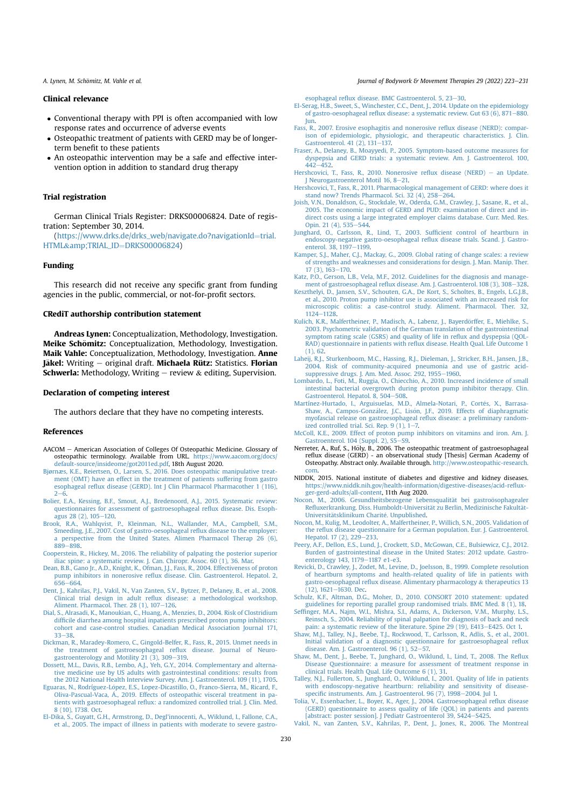# Clinical relevance

- Conventional therapy with PPI is often accompanied with low response rates and occurrence of adverse events
- Osteopathic treatment of patients with GERD may be of longerterm benefit to these patients
- An osteopathic intervention may be a safe and effective intervention option in addition to standard drug therapy

# Trial registration

German Clinical Trials Register: DRKS00006824. Date of registration: September 30, 2014.

 $(https://www.drks.de/drks_web/navigate.do?navigationId=trial.$ HTML&TRIAL\_ID=DRKS00006824)

# Funding

This research did not receive any specific grant from funding agencies in the public, commercial, or not-for-profit sectors.

# CRediT authorship contribution statement

Andreas Lynen: Conceptualization, Methodology, Investigation. Meike Schömitz: Conceptualization, Methodology, Investigation. Maik Vahle: Conceptualization, Methodology, Investigation. Anne Jäkel: Writing - original draft. Michaela Rütz: Statistics. Florian **Schwerla:** Methodology, Writing  $-$  review  $\&$  editing, Supervision.

## Declaration of competing interest

The authors declare that they have no competing interests.

# References

- AACOM American Association of Colleges Of Osteopathic Medicine. Glossary of osteopathic terminology. Available from URL. https://www.aacom.org/docs/ default-source/insideome/got2011ed.pdf, 18th August 2020.
- Bjørnæs, K.E., Reiertsen, O., Larsen, S., 2016. Does osteopathic manipulative treatment (OMT) have an effect in the treatment of patients suffering from gastro esophageal reflux disease (GERD). Int J Clin Pharmacol Pharmacother 1 (116),  $2 - 6$
- Bolier, E.A., Kessing, B.F., Smout, A.J., Bredenoord, A.J., 2015. Systematic review: questionnaires for assessment of gastroesophageal reflux disease. Dis. Esophagus 28 (2), 105-120.
- Brook, R.A., Wahlqvist, P., Kleinman, N.L., Wallander, M.A., Campbell, S.M., Smeeding, J.E., 2007. Cost of gastro-oesophageal reflux disease to the employer: perspective from the United States. Alimen Pharmacol Therap 26 (6), 889-898
- Cooperstein, R., Hickey, M., 2016. The reliability of palpating the posterior superior iliac spine: a systematic review. J. Can. Chiropr. Assoc. 60 (1), 36. Mar.
- Dean, B.B., Gano Jr., A.D., Knight, K., Ofman, J.J., Fass, R., 2004. Effectiveness of proton pump inhibitors in nonerosive reflux disease. Clin. Gastroenterol. Hepatol. 2, 656-664.
- Dent, J., Kahrilas, P.J., Vakil, N., Van Zanten, S.V., Bytzer, P., Delaney, B., et al., 2008. Clinical trial design in adult reflux disease: a methodological workshop. Aliment. Pharmacol. Ther.  $28$  (1),  $107-126$ .
- Dial, S., Alrasadi, K., Manoukian, C., Huang, A., Menzies, D., 2004. Risk of Clostridium difficile diarrhea among hospital inpatients prescribed proton pump inhibitors: cohort and case-control studies. Canadian Medical Association Journal 171, 33-38
- Dickman, R., Maradey-Romero, C., Gingold-Belfer, R., Fass, R., 2015. Unmet needs in the treatment of gastroesophageal reflux disease. Journal of Neurogastroenterology and Motility 21 (3), 309-319.
- Dossett, M.L., Davis, R.B., Lembo, A.J., Yeh, G.Y., 2014. Complementary and alternative medicine use by US adults with gastrointestinal conditions: results from the 2012 National Health Interview Survey. Am. J. Gastroenterol. 109 (11), 1705.
- Eguaras, N., Rodríguez-López, E.S., Lopez-Dicastillo, O., Franco-Sierra, M., Ricard, F., Oliva-Pascual-Vaca, Á., 2019. Effects of osteopathic visceral treatment in patients with gastroesophageal reflux: a randomized controlled trial. J. Clin. Med. 8 (10), 1738. Oct.
- El-Dika, S., Guyatt, G.H., Armstrong, D., Degl'innocenti, A., Wiklund, I., Fallone, C.A., et al., 2005. The impact of illness in patients with moderate to severe gastro-

A. Lynen, M. Schömitz, M. Vahle et al. **Exercía Exercía Exercía Exercía et al.** Fournal of Bodywork & Movement Therapies 29 (2022) 223–231

esophageal reflux disease. BMC Gastroenterol. 5, 23-30.

- El-Serag, H.B., Sweet, S., Winchester, C.C., Dent, J., 2014. Update on the epidemiology of gastro-oesophageal reflux disease: a systematic review. Gut 63 (6), 871–880. Jun.
- Fass, R., 2007. Erosive esophagitis and nonerosive reflux disease (NERD): comparison of epidemiologic, physiologic, and therapeutic characteristics. J. Clin. Gastroenterol.  $41$  (2),  $131-137$ .<br>Fraser, A., Delaney, B., Moayyedi, P
- , Moayyedi, P., 2005. Symptom-based outcome measures for dyspepsia and GERD trials: a systematic review. Am. J. Gastroenterol. 100,  $442 - 452$ .
- Hershcovici, T., Fass, R., 2010. Nonerosive reflux disease (NERD) an Update. J Neurogastroenterol Motil 16, 8-21.
- Hershcovici, T., Fass, R., 2011. Pharmacological management of GERD: where does it stand now? Trends Pharmacol. Sci. 32  $(4)$ , 258-264.
- Joish, V.N., Donaldson, G., Stockdale, W., Oderda, G.M., Crawley, J., Sasane, R., et al., 2005. The economic impact of GERD and PUD: examination of direct and indirect costs using a large integrated employer claims database. Curr. Med. Res.<br>Opin. 21 (4), 535–544.
- Junghard, O., Carlsson, R., Lind, T., 2003. Sufficient control of heartburn in endoscopy-negative gastro-oesophageal reflux disease trials. Scand. J. Gastroenterol.  $38.1197 - 1199$ .
- Kamper, S.J., Maher, C.J., Mackay, G., 2009. Global rating of change scales: a review of strengths and weaknesses and considerations for design. J. Man. Manip. Ther.  $17(3)$ ,  $163-170$ .
- Katz, P.O., Gerson, L.B., Vela, M.F., 2012. Guidelines for the diagnosis and management of gastroesophageal reflux disease. Am. J. Gastroenterol. 108 (3), 308–328.<br>Keszthelyi, D., Jansen, S.V., Schouten, G.A., De Kort, S., Scholtes, B., Engels, L.G.J.B.
- et al., 2010. Proton pump inhibitor use is associated with an increased risk for microscopic colitis: a case-control study. Aliment. Pharmacol. Ther. 32,  $1124 - 1128$
- Kulich, K.R., Malfertheiner, P., Madisch, A., Labenz, J., Bayerdörffer, E., Miehlke, S. 2003. Psychometric validation of the German translation of the gastrointestinal symptom rating scale (GSRS) and quality of life in reflux and dyspepsia (QOL-RAD) questionnaire in patients with reflux disease. Health Qual. Life Outcome 1 (1), 62.
- Laheij, R.J., Sturkenboom, M.C., Hassing, R.J., Dieleman, J., Stricker, B.H., Jansen, J.B., 2004. Risk of community-acquired pneumonia and use of gastric acid-
- suppressive drugs. J. Am. Med. Assoc. 292, 1955–1960.<br>Lombardo, L., Foti, M., Ruggia, O., Chiecchio, A., 2010. Increased incidence of small intestinal bacterial overgrowth during proton pump inhibitor therapy. Clin. Gastroenterol. Hepatol. 8, 504–508.
- Martínez-Hurtado, I., Arguisuelas, M.D., Almela-Notari, P., Cortes, X., Barrasa- " Shaw, A., Campos-González, J.C., Lisón, J.F., 2019. Effects of diaphragmatic<br>myofascial release on gastroesophageal reflux disease: a preliminary randomized controlled trial. Sci. Rep.  $9(1)$ ,  $1-7$ .
- McColl, K.E., 2009. Effect of proton pump inhibitors on vitamins and iron. Am. J.<br>Gastroenterol. 104 (Suppl. 2), S5–S9.
- Nerreter, A., Ruf, S., Höly, B., 2006. The osteopathic treatment of gastroesophageal reflux disease (GERD) - an observational study [Thesis] German Academy of Osteopathy. Abstract only. Available through. http://www.osteopathic-resea com.
- NIDDK, 2015. National institute of diabetes and digestive and kidney diseases. https://www.niddk.nih.gov/health-information/digestive-diseases/acid-refluxger-gerd-adults/all-content, 11th Aug 2020.
- Nocon, M., 2006. Gesundheitsbezogene Lebensqualität bei gastroösophagealer<br>Refluxerkrankung. Diss. Humboldt-Universität zu Berlin, Medizinische Fakultät-Universitätsklinikum Charité, Unpublished.
- Nocon, M., Kulig, M., Leodolter, A., Malfertheiner, P., Willich, S.N., 2005. Validation of the reflux disease questionnaire for a German population. Eur. J. Gastroenterol. Hepatol.  $17(2)$ ,  $229-233$ .
- Peery, A.F., Dellon, E.S., Lund, J., Crockett, S.D., McGowan, C.E., Bulsiewicz, C.J., 2012. Burden of gastrointestinal disease in the United States: 2012 update. Gastroenterology 143, 1179-1187 e1-e3.
- Revicki, D., Crawley, J., Zodet, M., Levine, D., Joelsson, B., 1999. Complete resolution of heartburn symptoms and health-related quality of life in patients with gastro-oesophageal reflux disease. Alimentary pharmacology & therapeutics 13
- (12), 1621–1630. Dec.<br>Schulz, K.F., Altman, D.G., Moher, D., 2010. CONSORT 2010 statement: updated guidelines for reporting parallel group randomised trials. BMC Med. 8 (1), 18.
- Seffinger, M.A., Najm, W.I., Mishra, S.I., Adams, A., Dickerson, V.M., Murphy, L.S. Reinsch, S., 2004. Reliability of spinal palpation for diagnosis of back and neck
- pain: a systematic review of the literature. Spine 29 (19), E413–E425. Oct 1.<br>Shaw, M.J., Talley, N.J., Beebe, T.J., Rockwood, T., Carlsson, R., Adlis, S., et al., 2001. Initial validation of a diagnostic questionnaire for gastroesophageal reflux
- disease. Am. J. Gastroenterol. 96 (1), 52–57.<br>Shaw, M., Dent, J., Beebe, T., Junghard, O., Wiklund, I., Lind, T., 2008. The Reflux Disease Questionnaire: a measure for assessment of treatment response in clinical trials. Health Qual. Life Outcome 6 (1), 31.
- Talley, N.J., Fullerton, S., Junghard, O., Wiklund, I., 2001. Quality of life in patients with endoscopy-negative heartburn: reliability and sensitivity of diseasespecific instruments. Am. J. Gastroenterol. 96 (7), 1998–2004. Jul 1.
- Tolia, V., Essenbacher, L., Boyer, K., Ager, J., 2004. Gastroesophageal reflux disease (GERD) questionnaire to assess quality of life (QOL) in patients and parents
- [abstract: poster session]. J Pediatr Gastroenterol 39, S424–S425.<br>Vakil, N., van Zanten, S.V., Kahrilas, P., Dent, J., Jones, R., 2006. The Montreal